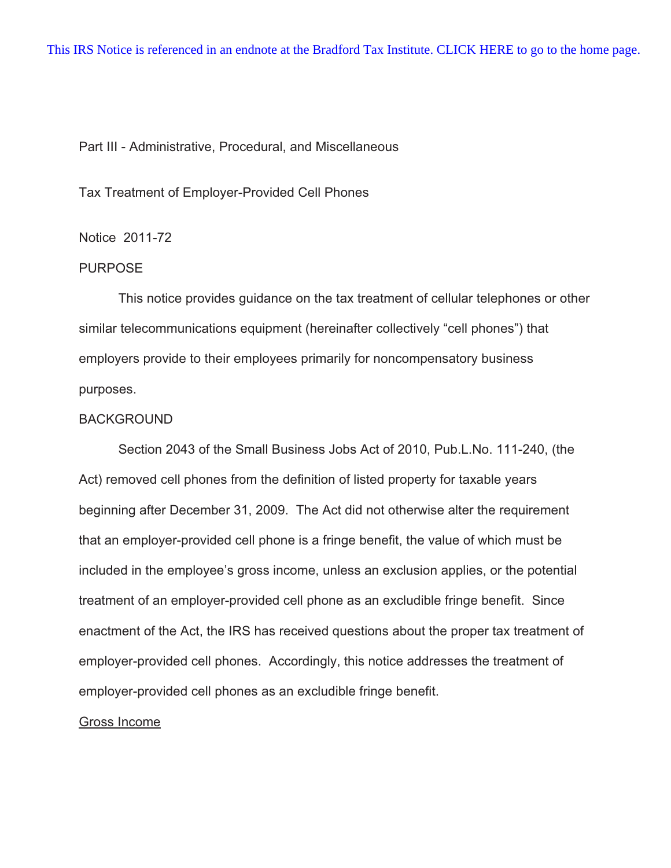# Part III - Administrative, Procedural, and Miscellaneous

Tax Treatment of Employer-Provided Cell Phones

# Notice 2011-72

# PURPOSE

This notice provides guidance on the tax treatment of cellular telephones or other similar telecommunications equipment (hereinafter collectively "cell phones") that employers provide to their employees primarily for noncompensatory business purposes.

# BACKGROUND

Section 2043 of the Small Business Jobs Act of 2010, Pub.L.No. 111-240, (the Act) removed cell phones from the definition of listed property for taxable years beginning after December 31, 2009. The Act did not otherwise alter the requirement that an employer-provided cell phone is a fringe benefit, the value of which must be included in the employee's gross income, unless an exclusion applies, or the potential treatment of an employer-provided cell phone as an excludible fringe benefit. Since enactment of the Act, the IRS has received questions about the proper tax treatment of employer-provided cell phones. Accordingly, this notice addresses the treatment of employer-provided cell phones as an excludible fringe benefit.

### Gross Income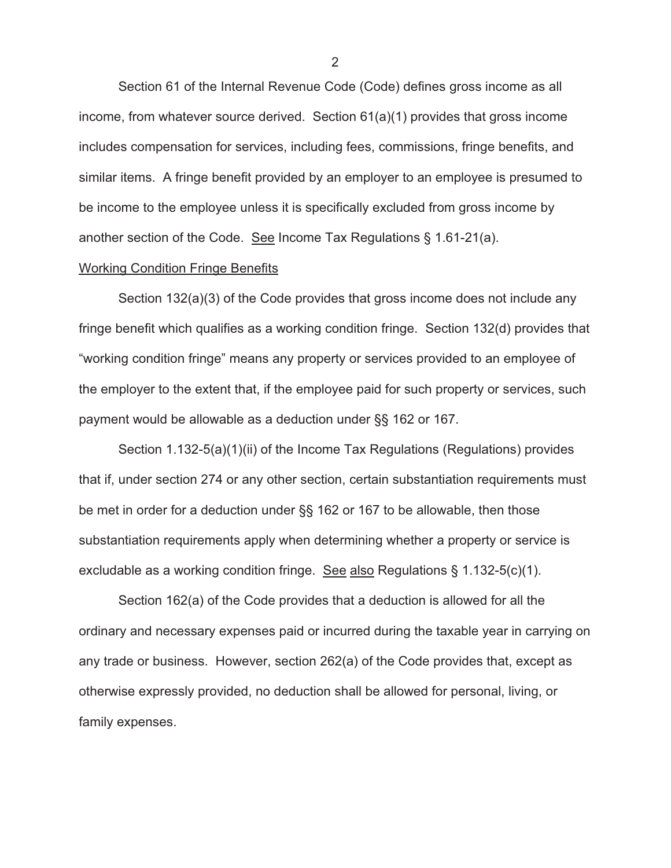Section 61 of the Internal Revenue Code (Code) defines gross income as all income, from whatever source derived. Section 61(a)(1) provides that gross income includes compensation for services, including fees, commissions, fringe benefits, and similar items. A fringe benefit provided by an employer to an employee is presumed to be income to the employee unless it is specifically excluded from gross income by another section of the Code. See Income Tax Regulations § 1.61-21(a).

#### Working Condition Fringe Benefits

 Section 132(a)(3) of the Code provides that gross income does not include any fringe benefit which qualifies as a working condition fringe. Section 132(d) provides that "working condition fringe" means any property or services provided to an employee of the employer to the extent that, if the employee paid for such property or services, such payment would be allowable as a deduction under §§ 162 or 167.

 Section 1.132-5(a)(1)(ii) of the Income Tax Regulations (Regulations) provides that if, under section 274 or any other section, certain substantiation requirements must be met in order for a deduction under §§ 162 or 167 to be allowable, then those substantiation requirements apply when determining whether a property or service is excludable as a working condition fringe. See also Regulations  $\S 1.132-5(c)(1)$ .

Section 162(a) of the Code provides that a deduction is allowed for all the ordinary and necessary expenses paid or incurred during the taxable year in carrying on any trade or business. However, section 262(a) of the Code provides that, except as otherwise expressly provided, no deduction shall be allowed for personal, living, or family expenses.

2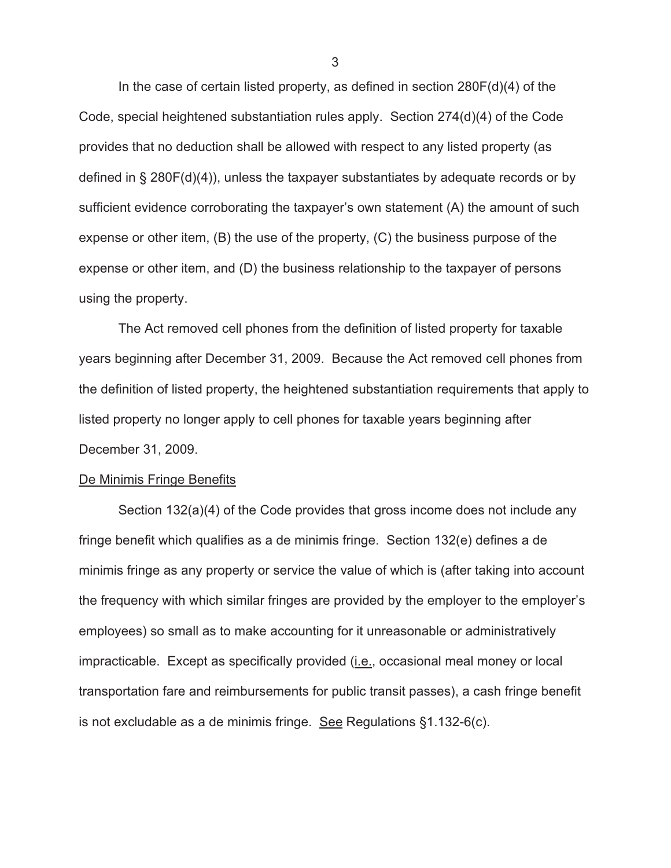In the case of certain listed property, as defined in section  $280F(d)(4)$  of the Code, special heightened substantiation rules apply. Section 274(d)(4) of the Code provides that no deduction shall be allowed with respect to any listed property (as defined in § 280F(d)(4)), unless the taxpayer substantiates by adequate records or by sufficient evidence corroborating the taxpayer's own statement (A) the amount of such expense or other item, (B) the use of the property, (C) the business purpose of the expense or other item, and (D) the business relationship to the taxpayer of persons using the property.

 The Act removed cell phones from the definition of listed property for taxable years beginning after December 31, 2009. Because the Act removed cell phones from the definition of listed property, the heightened substantiation requirements that apply to listed property no longer apply to cell phones for taxable years beginning after December 31, 2009.

#### De Minimis Fringe Benefits

 Section 132(a)(4) of the Code provides that gross income does not include any fringe benefit which qualifies as a de minimis fringe. Section 132(e) defines a de minimis fringe as any property or service the value of which is (after taking into account the frequency with which similar fringes are provided by the employer to the employer's employees) so small as to make accounting for it unreasonable or administratively impracticable. Except as specifically provided (*i.e.*, occasional meal money or local transportation fare and reimbursements for public transit passes), a cash fringe benefit is not excludable as a de minimis fringe. See Regulations  $\S1.132-6(c)$ .

3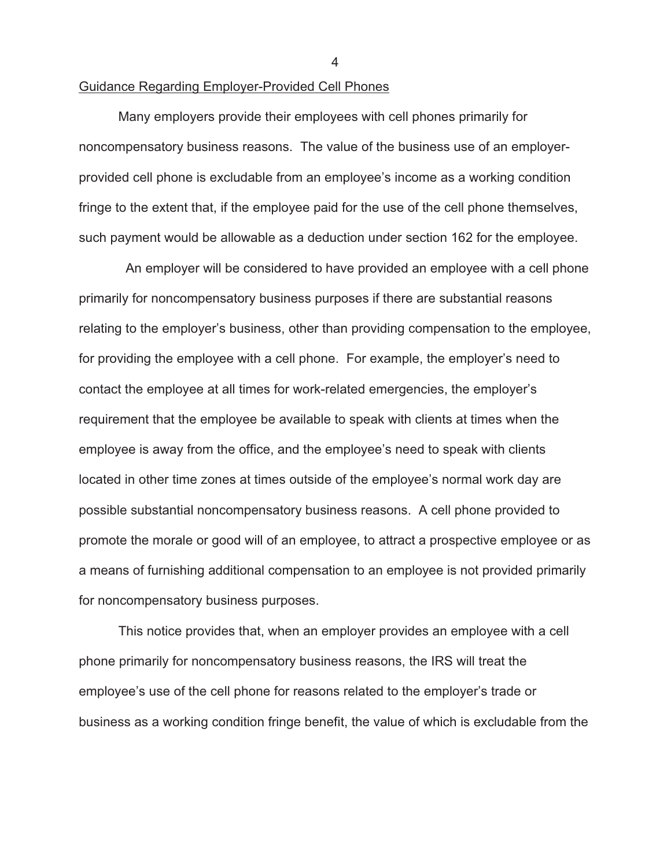### Guidance Regarding Employer-Provided Cell Phones

Many employers provide their employees with cell phones primarily for noncompensatory business reasons. The value of the business use of an employerprovided cell phone is excludable from an employee's income as a working condition fringe to the extent that, if the employee paid for the use of the cell phone themselves, such payment would be allowable as a deduction under section 162 for the employee.

 An employer will be considered to have provided an employee with a cell phone primarily for noncompensatory business purposes if there are substantial reasons relating to the employer's business, other than providing compensation to the employee, for providing the employee with a cell phone. For example, the employer's need to contact the employee at all times for work-related emergencies, the employer's requirement that the employee be available to speak with clients at times when the employee is away from the office, and the employee's need to speak with clients located in other time zones at times outside of the employee's normal work day are possible substantial noncompensatory business reasons. A cell phone provided to promote the morale or good will of an employee, to attract a prospective employee or as a means of furnishing additional compensation to an employee is not provided primarily for noncompensatory business purposes.

This notice provides that, when an employer provides an employee with a cell phone primarily for noncompensatory business reasons, the IRS will treat the employee's use of the cell phone for reasons related to the employer's trade or business as a working condition fringe benefit, the value of which is excludable from the

4